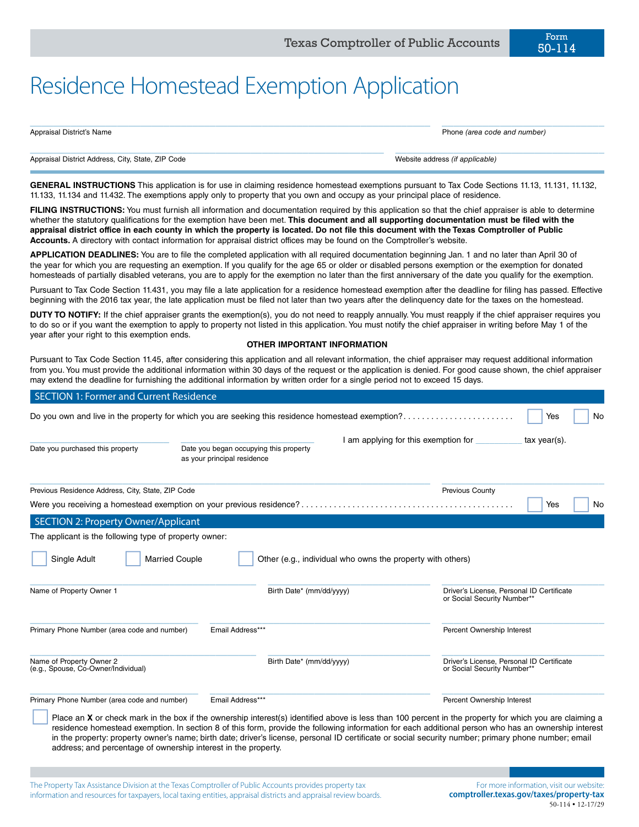50-114

| Appraisal District's Name                         | Phone (area code and number)    |
|---------------------------------------------------|---------------------------------|
|                                                   |                                 |
| Appraisal District Address, City, State, ZIP Code | Website address (if applicable) |

**GENERAL INSTRUCTIONS** This application is for use in claiming residence homestead exemptions pursuant to Tax Code Sections 11.13, 11.131, 11.132, 11.133, 11.134 and 11.432. The exemptions apply only to property that you own and occupy as your principal place of residence.

FILING INSTRUCTIONS: You must furnish all information and documentation required by this application so that the chief appraiser is able to determine whether the statutory qualifications for the exemption have been met. **This document and all supporting documentation must be filed with the appraisal district office in each county in which the property is located. Do not file this document with the Texas Comptroller of Public Accounts.** A directory with contact information for appraisal district offices may be found on the Comptroller's website.

**APPLICATION DEADLINES:** You are to file the completed application with all required documentation beginning Jan. 1 and no later than April 30 of the year for which you are requesting an exemption. If you qualify for the age 65 or older or disabled persons exemption or the exemption for donated homesteads of partially disabled veterans, you are to apply for the exemption no later than the first anniversary of the date you qualify for the exemption.

Pursuant to Tax Code Section 11.431, you may file a late application for a residence homestead exemption after the deadline for filing has passed. Effective beginning with the 2016 tax year, the late application must be filed not later than two years after the delinquency date for the taxes on the homestead.

**DUTY TO NOTIFY:** If the chief appraiser grants the exemption(s), you do not need to reapply annually. You must reapply if the chief appraiser requires you to do so or if you want the exemption to apply to property not listed in this application. You must notify the chief appraiser in writing before May 1 of the year after your right to this exemption ends.

# **OTHER IMPORTANT INFORMATION**

Pursuant to Tax Code Section 11.45, after considering this application and all relevant information, the chief appraiser may request additional information from you. You must provide the additional information within 30 days of the request or the application is denied. For good cause shown, the chief appraiser may extend the deadline for furnishing the additional information by written order for a single period not to exceed 15 days.

| <b>SECTION 1: Former and Current Residence</b>                                                                 |                                                                                                                                                                                                                                                                                                                                                                                                                                                                                |                                                                          |  |  |
|----------------------------------------------------------------------------------------------------------------|--------------------------------------------------------------------------------------------------------------------------------------------------------------------------------------------------------------------------------------------------------------------------------------------------------------------------------------------------------------------------------------------------------------------------------------------------------------------------------|--------------------------------------------------------------------------|--|--|
| Do you own and live in the property for which you are seeking this residence homestead exemption?<br>Yes<br>No |                                                                                                                                                                                                                                                                                                                                                                                                                                                                                |                                                                          |  |  |
| Date you purchased this property                                                                               | I am applying for this exemption for<br>Date you began occupying this property<br>as your principal residence                                                                                                                                                                                                                                                                                                                                                                  | $tax$ year(s).                                                           |  |  |
| Previous Residence Address, City, State, ZIP Code                                                              |                                                                                                                                                                                                                                                                                                                                                                                                                                                                                | Previous County                                                          |  |  |
|                                                                                                                |                                                                                                                                                                                                                                                                                                                                                                                                                                                                                | No<br>Yes                                                                |  |  |
| <b>SECTION 2: Property Owner/Applicant</b>                                                                     |                                                                                                                                                                                                                                                                                                                                                                                                                                                                                |                                                                          |  |  |
| The applicant is the following type of property owner:                                                         |                                                                                                                                                                                                                                                                                                                                                                                                                                                                                |                                                                          |  |  |
| Single Adult<br><b>Married Couple</b>                                                                          | Other (e.g., individual who owns the property with others)                                                                                                                                                                                                                                                                                                                                                                                                                     |                                                                          |  |  |
| Name of Property Owner 1                                                                                       | Birth Date* (mm/dd/yyyy)                                                                                                                                                                                                                                                                                                                                                                                                                                                       | Driver's License, Personal ID Certificate<br>or Social Security Number** |  |  |
| Primary Phone Number (area code and number)                                                                    | Email Address***                                                                                                                                                                                                                                                                                                                                                                                                                                                               | Percent Ownership Interest                                               |  |  |
| Name of Property Owner 2<br>(e.g., Spouse, Co-Owner/Individual)                                                | Birth Date* (mm/dd/yyyy)                                                                                                                                                                                                                                                                                                                                                                                                                                                       | Driver's License, Personal ID Certificate<br>or Social Security Number** |  |  |
| Primary Phone Number (area code and number)                                                                    | Email Address***                                                                                                                                                                                                                                                                                                                                                                                                                                                               | Percent Ownership Interest                                               |  |  |
| address; and percentage of ownership interest in the property.                                                 | Place an <b>X</b> or check mark in the box if the ownership interest(s) identified above is less than 100 percent in the property for which you are claiming a<br>residence homestead exemption. In section 8 of this form, provide the following information for each additional person who has an ownership interest<br>in the property: property owner's name; birth date; driver's license, personal ID certificate or social security number; primary phone number; email |                                                                          |  |  |

The Property Tax Assistance Division at the Texas Comptroller of Public Accounts provides property tax information and resources for taxpayers, local taxing entities, appraisal districts and appraisal review boards.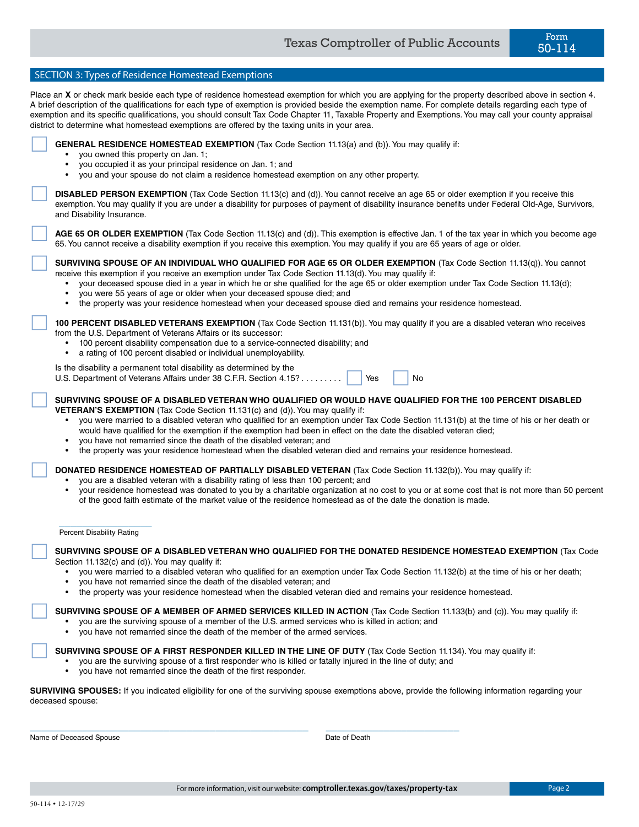| SECTION 3: Types of Residence Homestead Exemptions                                                                                                                                                                                                                                                                                                                                                                                                                                                                                                                                                                                                    |
|-------------------------------------------------------------------------------------------------------------------------------------------------------------------------------------------------------------------------------------------------------------------------------------------------------------------------------------------------------------------------------------------------------------------------------------------------------------------------------------------------------------------------------------------------------------------------------------------------------------------------------------------------------|
| Place an X or check mark beside each type of residence homestead exemption for which you are applying for the property described above in section 4.<br>A brief description of the qualifications for each type of exemption is provided beside the exemption name. For complete details regarding each type of<br>exemption and its specific qualifications, you should consult Tax Code Chapter 11, Taxable Property and Exemptions. You may call your county appraisal<br>district to determine what homestead exemptions are offered by the taxing units in your area.                                                                            |
| GENERAL RESIDENCE HOMESTEAD EXEMPTION (Tax Code Section 11.13(a) and (b)). You may qualify if:<br>you owned this property on Jan. 1;<br>you occupied it as your principal residence on Jan. 1; and<br>you and your spouse do not claim a residence homestead exemption on any other property.                                                                                                                                                                                                                                                                                                                                                         |
| DISABLED PERSON EXEMPTION (Tax Code Section 11.13(c) and (d)). You cannot receive an age 65 or older exemption if you receive this<br>exemption. You may qualify if you are under a disability for purposes of payment of disability insurance benefits under Federal Old-Age, Survivors,<br>and Disability Insurance.                                                                                                                                                                                                                                                                                                                                |
| AGE 65 OR OLDER EXEMPTION (Tax Code Section 11.13(c) and (d)). This exemption is effective Jan. 1 of the tax year in which you become age<br>65. You cannot receive a disability exemption if you receive this exemption. You may qualify if you are 65 years of age or older.                                                                                                                                                                                                                                                                                                                                                                        |
| SURVIVING SPOUSE OF AN INDIVIDUAL WHO QUALIFIED FOR AGE 65 OR OLDER EXEMPTION (Tax Code Section 11.13(q)). You cannot<br>receive this exemption if you receive an exemption under Tax Code Section 11.13(d). You may qualify if:<br>your deceased spouse died in a year in which he or she qualified for the age 65 or older exemption under Tax Code Section 11.13(d);<br>you were 55 years of age or older when your deceased spouse died; and<br>the property was your residence homestead when your deceased spouse died and remains your residence homestead.                                                                                    |
| 100 PERCENT DISABLED VETERANS EXEMPTION (Tax Code Section 11.131(b)). You may qualify if you are a disabled veteran who receives<br>from the U.S. Department of Veterans Affairs or its successor:<br>100 percent disability compensation due to a service-connected disability; and<br>٠<br>a rating of 100 percent disabled or individual unemployability.                                                                                                                                                                                                                                                                                          |
| Is the disability a permanent total disability as determined by the<br>U.S. Department of Veterans Affairs under 38 C.F.R. Section 4.15?<br>Yes<br>No                                                                                                                                                                                                                                                                                                                                                                                                                                                                                                 |
| SURVIVING SPOUSE OF A DISABLED VETERAN WHO QUALIFIED OR WOULD HAVE QUALIFIED FOR THE 100 PERCENT DISABLED<br>VETERAN'S EXEMPTION (Tax Code Section 11.131(c) and (d)). You may qualify if:<br>you were married to a disabled veteran who qualified for an exemption under Tax Code Section 11.131(b) at the time of his or her death or<br>would have qualified for the exemption if the exemption had been in effect on the date the disabled veteran died;<br>you have not remarried since the death of the disabled veteran; and<br>the property was your residence homestead when the disabled veteran died and remains your residence homestead. |
| DONATED RESIDENCE HOMESTEAD OF PARTIALLY DISABLED VETERAN (Tax Code Section 11.132(b)). You may qualify if:<br>you are a disabled veteran with a disability rating of less than 100 percent; and<br>your residence homestead was donated to you by a charitable organization at no cost to you or at some cost that is not more than 50 percent<br>of the good faith estimate of the market value of the residence homestead as of the date the donation is made.                                                                                                                                                                                     |
| <b>Percent Disability Rating</b>                                                                                                                                                                                                                                                                                                                                                                                                                                                                                                                                                                                                                      |
| SURVIVING SPOUSE OF A DISABLED VETERAN WHO QUALIFIED FOR THE DONATED RESIDENCE HOMESTEAD EXEMPTION (Tax Code<br>Section 11.132(c) and (d)). You may qualify if:<br>you were married to a disabled veteran who qualified for an exemption under Tax Code Section 11.132(b) at the time of his or her death;<br>you have not remarried since the death of the disabled veteran; and<br>the property was your residence homestead when the disabled veteran died and remains your residence homestead.                                                                                                                                                   |
| SURVIVING SPOUSE OF A MEMBER OF ARMED SERVICES KILLED IN ACTION (Tax Code Section 11.133(b) and (c)). You may qualify if:<br>you are the surviving spouse of a member of the U.S. armed services who is killed in action; and<br>you have not remarried since the death of the member of the armed services.<br>$\bullet$                                                                                                                                                                                                                                                                                                                             |
| SURVIVING SPOUSE OF A FIRST RESPONDER KILLED IN THE LINE OF DUTY (Tax Code Section 11.134). You may qualify if:<br>you are the surviving spouse of a first responder who is killed or fatally injured in the line of duty; and<br>you have not remarried since the death of the first responder.                                                                                                                                                                                                                                                                                                                                                      |
| <b>SURVIVING SPOUSES:</b> If you indicated eligibility for one of the surviving spouse exemptions above, provide the following information regarding your<br>deceased spouse:                                                                                                                                                                                                                                                                                                                                                                                                                                                                         |
| Name of Deceased Spouse<br>Date of Death                                                                                                                                                                                                                                                                                                                                                                                                                                                                                                                                                                                                              |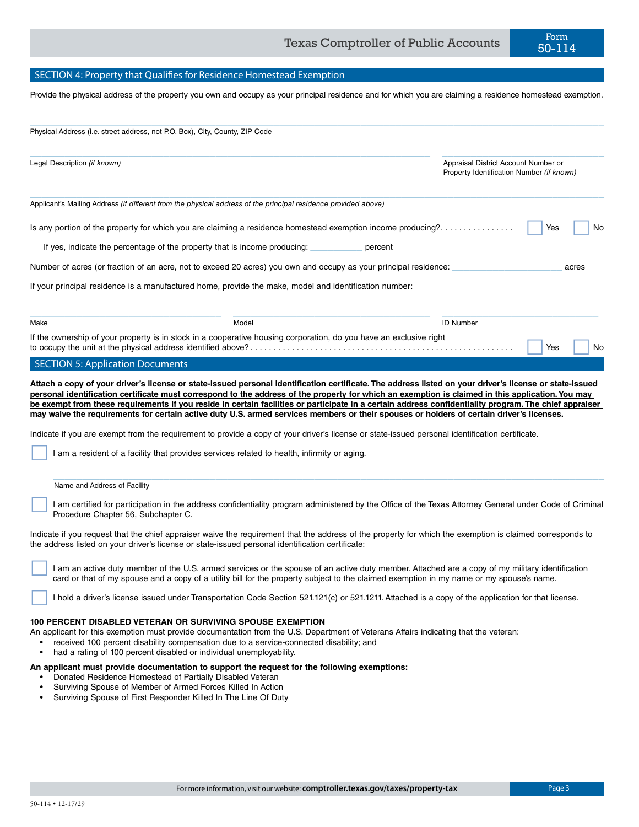# SECTION 4: Property that Qualifies for Residence Homestead Exemption

Provide the physical address of the property you own and occupy as your principal residence and for which you are claiming a residence homestead exemption.

 $\_$  , and the set of the set of the set of the set of the set of the set of the set of the set of the set of the set of the set of the set of the set of the set of the set of the set of the set of the set of the set of th

| Physical Address (i.e. street address, not P.O. Box), City, County, ZIP Code |                                                                                                                    |                                                                                   |            |  |
|------------------------------------------------------------------------------|--------------------------------------------------------------------------------------------------------------------|-----------------------------------------------------------------------------------|------------|--|
| Legal Description (if known)                                                 |                                                                                                                    | Appraisal District Account Number or<br>Property Identification Number (if known) |            |  |
|                                                                              | Applicant's Mailing Address (if different from the physical address of the principal residence provided above)     |                                                                                   |            |  |
|                                                                              | Is any portion of the property for which you are claiming a residence homestead exemption income producing?        |                                                                                   | Yes<br>No. |  |
|                                                                              | If yes, indicate the percentage of the property that is income producing:                                          | percent                                                                           |            |  |
|                                                                              | Number of acres (or fraction of an acre, not to exceed 20 acres) you own and occupy as your principal residence:   |                                                                                   | acres      |  |
|                                                                              | If your principal residence is a manufactured home, provide the make, model and identification number:             |                                                                                   |            |  |
| Make                                                                         | Model                                                                                                              | <b>ID Number</b>                                                                  |            |  |
|                                                                              | If the ownership of your property is in stock in a cooperative housing corporation, do you have an exclusive right |                                                                                   | No<br>Yes  |  |
| <b>SECTION 5: Application Documents</b>                                      |                                                                                                                    |                                                                                   |            |  |

**Attach a copy of your driver's license or state-issued personal identification certificate. The address listed on your driver's license or state-issued personal identification certificate must correspond to the address of the property for which an exemption is claimed in this application. You may be exempt from these requirements if you reside in certain facilities or participate in a certain address confidentiality program. The chief appraiser may waive the requirements for certain active duty U.S. armed services members or their spouses or holders of certain driver's licenses.**

Indicate if you are exempt from the requirement to provide a copy of your driver's license or state-issued personal identification certificate.

I am a resident of a facility that provides services related to health, infirmity or aging.

### $\mathcal{L}_\mathcal{L} = \{ \mathcal{L}_\mathcal{L} = \{ \mathcal{L}_\mathcal{L} = \{ \mathcal{L}_\mathcal{L} = \{ \mathcal{L}_\mathcal{L} = \{ \mathcal{L}_\mathcal{L} = \{ \mathcal{L}_\mathcal{L} = \{ \mathcal{L}_\mathcal{L} = \{ \mathcal{L}_\mathcal{L} = \{ \mathcal{L}_\mathcal{L} = \{ \mathcal{L}_\mathcal{L} = \{ \mathcal{L}_\mathcal{L} = \{ \mathcal{L}_\mathcal{L} = \{ \mathcal{L}_\mathcal{L} = \{ \mathcal{L}_\mathcal{$ Name and Address of Facility

 I am certified for participation in the address confidentiality program administered by the Office of the Texas Attorney General under Code of Criminal Procedure Chapter 56, Subchapter C.

Indicate if you request that the chief appraiser waive the requirement that the address of the property for which the exemption is claimed corresponds to the address listed on your driver's license or state-issued personal identification certificate:

 I am an active duty member of the U.S. armed services or the spouse of an active duty member. Attached are a copy of my military identification card or that of my spouse and a copy of a utility bill for the property subject to the claimed exemption in my name or my spouse's name.

I hold a driver's license issued under Transportation Code Section 521.121(c) or 521.1211. Attached is a copy of the application for that license.

# **100 PERCENT DISABLED VETERAN OR SURVIVING SPOUSE EXEMPTION**

- An applicant for this exemption must provide documentation from the U.S. Department of Veterans Affairs indicating that the veteran:
	- received 100 percent disability compensation due to a service-connected disability; and
	- had a rating of 100 percent disabled or individual unemployability.

## **An applicant must provide documentation to support the request for the following exemptions:**

- Donated Residence Homestead of Partially Disabled Veteran
- Surviving Spouse of Member of Armed Forces Killed In Action
- Surviving Spouse of First Responder Killed In The Line Of Duty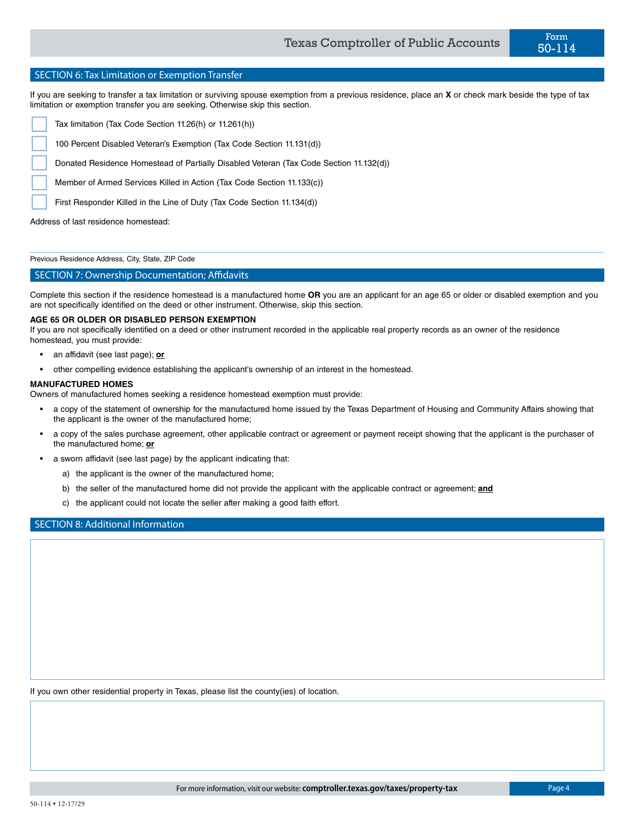If you are seeking to transfer a tax limitation or surviving spouse exemption from a previous residence, place an **X** or check mark beside the type of tax limitation or exemption transfer you are seeking. Otherwise skip this section.

Tax limitation (Tax Code Section 11.26(h) or 11.261(h))

100 Percent Disabled Veteran's Exemption (Tax Code Section 11.131(d))

Donated Residence Homestead of Partially Disabled Veteran (Tax Code Section 11.132(d))

Member of Armed Services Killed in Action (Tax Code Section 11.133(c))

First Responder Killed in the Line of Duty (Tax Code Section 11.134(d))

Address of last residence homestead:

Previous Residence Address, City, State, ZIP Code

# SECTION 7: Ownership Documentation; Affidavits

Complete this section if the residence homestead is a manufactured home **OR** you are an applicant for an age 65 or older or disabled exemption and you are not specifically identified on the deed or other instrument. Otherwise, skip this section.

 $\_$  , and the set of the set of the set of the set of the set of the set of the set of the set of the set of the set of the set of the set of the set of the set of the set of the set of the set of the set of the set of th

## **AGE 65 OR OLDER OR DISABLED PERSON EXEMPTION**

If you are not specifically identified on a deed or other instrument recorded in the applicable real property records as an owner of the residence homestead, you must provide:

- an affidavit (see last page); **or**
- other compelling evidence establishing the applicant's ownership of an interest in the homestead.

## **MANUFACTURED HOMES**

Owners of manufactured homes seeking a residence homestead exemption must provide:

- a copy of the statement of ownership for the manufactured home issued by the Texas Department of Housing and Community Affairs showing that the applicant is the owner of the manufactured home;
- a copy of the sales purchase agreement, other applicable contract or agreement or payment receipt showing that the applicant is the purchaser of the manufactured home; **or**
- a sworn affidavit (see last page) by the applicant indicating that:
	- a) the applicant is the owner of the manufactured home;
	- b) the seller of the manufactured home did not provide the applicant with the applicable contract or agreement; **and**
	- c) the applicant could not locate the seller after making a good faith effort.

# SECTION 8: Additional Information

If you own other residential property in Texas, please list the county(ies) of location.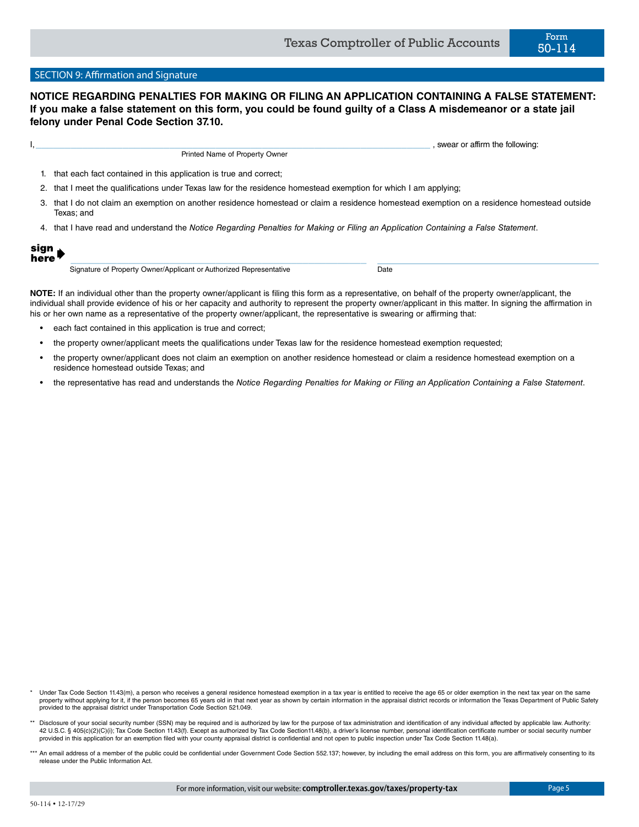# SECTION 9: Affirmation and Signature

# **NOTICE REGARDING PENALTIES FOR MAKING OR FILING AN APPLICATION CONTAINING A FALSE STATEMENT: If you make a false statement on this form, you could be found guilty of a Class A misdemeanor or a state jail felony under Penal Code Section 37.10.**

| swear or affirm the following:                                                                                          |
|-------------------------------------------------------------------------------------------------------------------------|
| Printed Name of Property Owner                                                                                          |
| that each fact contained in this application is true and correct;                                                       |
| 2. that I meet the qualifications under Texas law for the residence homestead exemption for which I am applying;        |
| that I de not electron as exemplos no enclose a might used as electronic mediana anomation and superior and the thorner |

- that I do not claim an exemption on another residence homestead or claim a residence homestead exemption on a residence homestead outside Texas; and
- 4. that I have read and understand the *Notice Regarding Penalties for Making or Filing an Application Containing a False Statement*.

| юn<br>u. |  |
|----------|--|
| n<br>ere |  |

Signature of Property Owner/Applicant or Authorized Representative Date

\_\_\_\_\_\_\_\_\_\_\_\_\_\_\_\_\_\_\_\_\_\_\_\_\_\_\_\_\_\_\_\_\_\_\_\_\_\_\_\_\_\_\_\_\_\_\_\_\_\_\_

**NOTE:** If an individual other than the property owner/applicant is filing this form as a representative, on behalf of the property owner/applicant, the individual shall provide evidence of his or her capacity and authority to represent the property owner/applicant in this matter. In signing the affirmation in his or her own name as a representative of the property owner/applicant, the representative is swearing or affirming that:

- each fact contained in this application is true and correct;
- the property owner/applicant meets the qualifications under Texas law for the residence homestead exemption requested;
- the property owner/applicant does not claim an exemption on another residence homestead or claim a residence homestead exemption on a residence homestead outside Texas; and
- the representative has read and understands the *Notice Regarding Penalties for Making or Filing an Application Containing a False Statement*.

- Under Tax Code Section 11.43(m), a person who receives a general residence homestead exemption in a tax year is entitled to receive the age 65 or older exemption in the next tax year on the same property without applying for it, if the person becomes 65 years old in that next year as shown by certain information in the appraisal district records or information the Texas Department of Public Safety provided to the appraisal district under Transportation Code Section 521.049.
- Disclosure of your social security number (SSN) may be required and is authorized by law for the purpose of tax administration and identification of any individual affected by applicable law. Authority: 42 U.S.C. § 405(c)(2)(C)(i); Tax Code Section 11.43(f). Except as authorized by Tax Code Section11.48(b), a driver's license number, personal identification certificate number or social security number provided in this application for an exemption filed with your county appraisal district is confidential and not open to public inspection under Tax Code Section 11.48(a).
- \*\*\* An email address of a member of the public could be confidential under Government Code Section 552.137; however, by including the email address on this form, you are affirmatively consenting to its release under the Public Information Act.